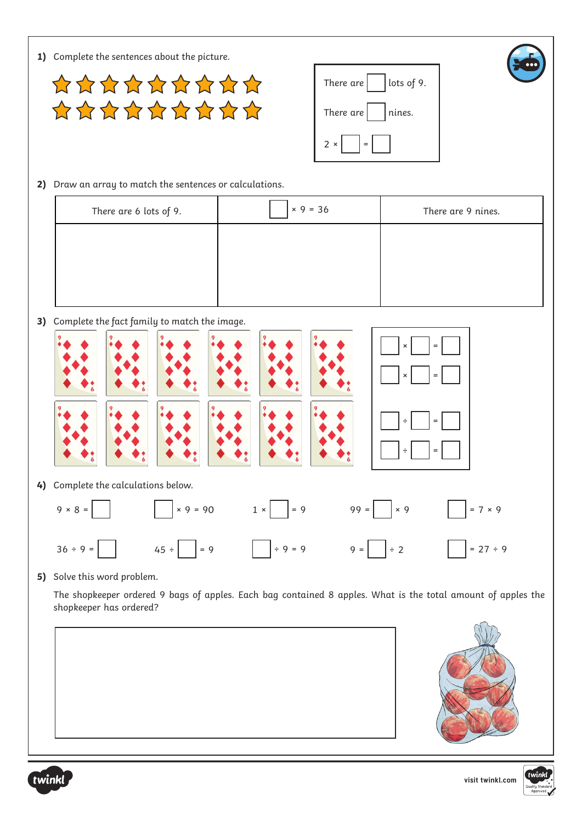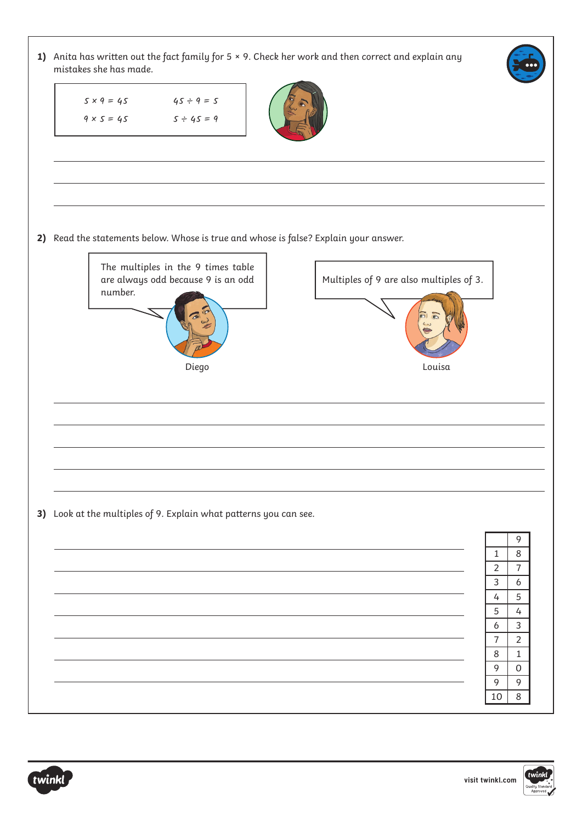**1)** Anita has written out the fact family for 5 × 9. Check her work and then correct and explain any mistakes she has made. **2)** Read the statements below. Whose is true and whose is false? Explain your answer. **3)** Look at the multiples of 9. Explain what patterns you can see.  $5 \times 9 = 45$  $9 \times 5 = 45$  $45 \div 9 = 5$  $5 \div 45 = 9$ Diego Louisa The multiples in the 9 times table are always odd because 9 is an odd number. Multiples of 9 are also multiples of 3. 9  $1 \mid 8$  $2 \mid 7$  $3 \mid 6$  $4 \mid 5$  $5 \mid 4$  $6 \mid 3$ 7 2 8 1  $\overline{9}$  0 9  $10 \mid 8$